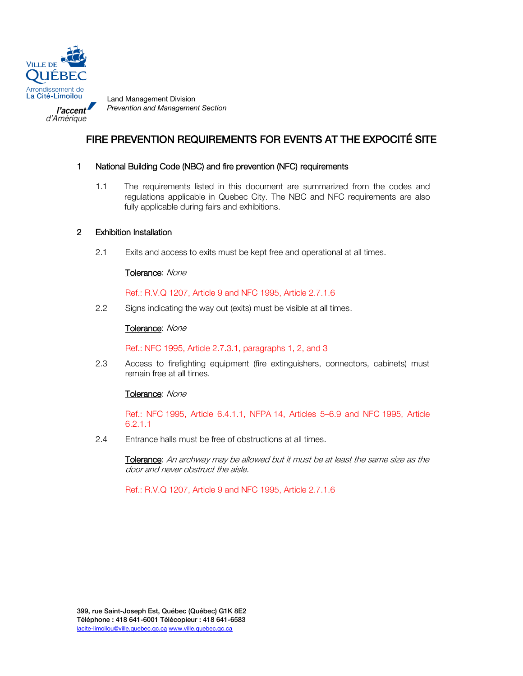

d'Amérique

*Prevention and Management Section*

# FIRE PREVENTION REQUIREMENTS FOR EVENTS AT THE EXPOCITÉ SITE

# 1 National Building Code (NBC) and fire prevention (NFC) requirements

1.1 The requirements listed in this document are summarized from the codes and regulations applicable in Quebec City. The NBC and NFC requirements are also fully applicable during fairs and exhibitions.

# 2 Exhibition Installation

2.1 Exits and access to exits must be kept free and operational at all times.

## Tolerance: None

Ref.: R.V.Q 1207, Article 9 and NFC 1995, Article 2.7.1.6

2.2 Signs indicating the way out (exits) must be visible at all times.

## Tolerance: None

Ref.: NFC 1995, Article 2.7.3.1, paragraphs 1, 2, and 3

2.3 Access to firefighting equipment (fire extinguishers, connectors, cabinets) must remain free at all times.

#### Tolerance: None

Ref.: NFC 1995, Article 6.4.1.1, NFPA 14, Articles 5–6.9 and NFC 1995, Article 6.2.1.1

2.4 Entrance halls must be free of obstructions at all times.

Tolerance: An archway may be allowed but it must be at least the same size as the door and never obstruct the aisle.

Ref.: R.V.Q 1207, Article 9 and NFC 1995, Article 2.7.1.6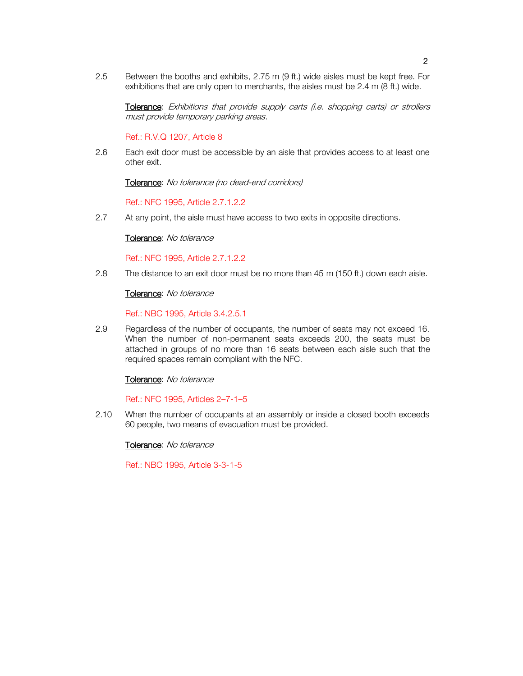2.5 Between the booths and exhibits, 2.75 m (9 ft.) wide aisles must be kept free. For exhibitions that are only open to merchants, the aisles must be 2.4 m (8 ft.) wide.

Tolerance: Exhibitions that provide supply carts (i.e. shopping carts) or strollers must provide temporary parking areas.

Ref.: R.V.Q 1207, Article 8

2.6 Each exit door must be accessible by an aisle that provides access to at least one other exit.

Tolerance: No tolerance (no dead-end corridors)

Ref.: NFC 1995, Article 2.7.1.2.2

2.7 At any point, the aisle must have access to two exits in opposite directions.

Tolerance: No tolerance

Ref.: NFC 1995, Article 2.7.1.2.2

2.8 The distance to an exit door must be no more than 45 m (150 ft.) down each aisle.

#### Tolerance: No tolerance

Ref.: NBC 1995, Article 3.4.2.5.1

2.9 Regardless of the number of occupants, the number of seats may not exceed 16. When the number of non-permanent seats exceeds 200, the seats must be attached in groups of no more than 16 seats between each aisle such that the required spaces remain compliant with the NFC.

#### Tolerance: No tolerance

Ref.: NFC 1995, Articles 2–7-1–5

2.10 When the number of occupants at an assembly or inside a closed booth exceeds 60 people, two means of evacuation must be provided.

Tolerance: No tolerance

Ref.: NBC 1995, Article 3-3-1-5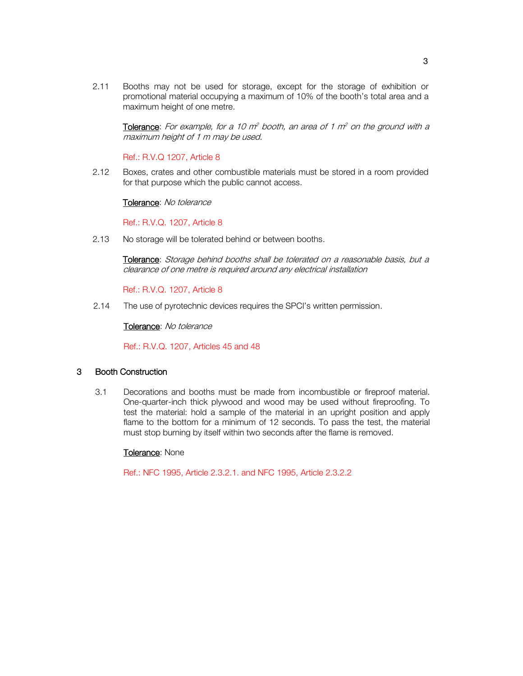2.11 Booths may not be used for storage, except for the storage of exhibition or promotional material occupying a maximum of 10% of the booth's total area and a maximum height of one metre.

Tolerance: For example, for a 10  $m^2$  booth, an area of 1  $m^2$  on the ground with a maximum height of 1 m may be used.

Ref.: R.V.Q 1207, Article 8

2.12 Boxes, crates and other combustible materials must be stored in a room provided for that purpose which the public cannot access.

Tolerance: No tolerance

Ref.: R.V.Q. 1207, Article 8

2.13 No storage will be tolerated behind or between booths.

Tolerance: Storage behind booths shall be tolerated on a reasonable basis, but a clearance of one metre is required around any electrical installation

Ref.: R.V.Q. 1207, Article 8

2.14 The use of pyrotechnic devices requires the SPCI's written permission.

Tolerance: No tolerance

Ref.: R.V.Q. 1207, Articles 45 and 48

## 3 Booth Construction

3.1 Decorations and booths must be made from incombustible or fireproof material. One-quarter-inch thick plywood and wood may be used without fireproofing. To test the material: hold a sample of the material in an upright position and apply flame to the bottom for a minimum of 12 seconds. To pass the test, the material must stop burning by itself within two seconds after the flame is removed.

#### Tolerance: None

Ref.: NFC 1995, Article 2.3.2.1. and NFC 1995, Article 2.3.2.2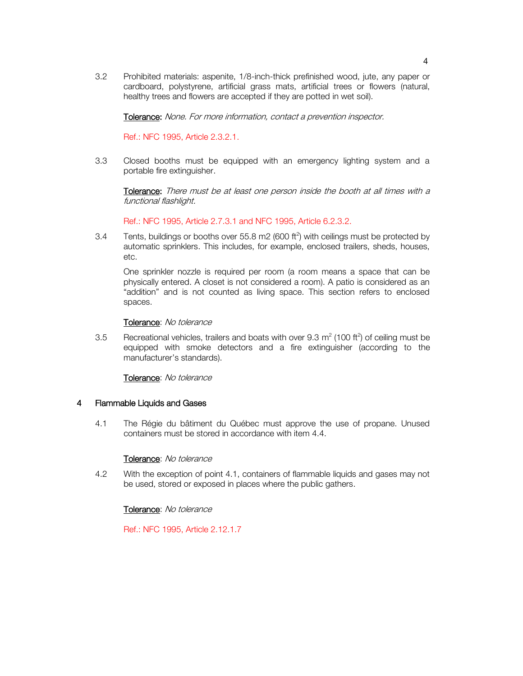3.2 Prohibited materials: aspenite, 1/8-inch-thick prefinished wood, jute, any paper or cardboard, polystyrene, artificial grass mats, artificial trees or flowers (natural, healthy trees and flowers are accepted if they are potted in wet soil).

Tolerance: None. For more information, contact a prevention inspector.

Ref.: NFC 1995, Article 2.3.2.1.

3.3 Closed booths must be equipped with an emergency lighting system and a portable fire extinguisher.

Tolerance: There must be at least one person inside the booth at all times with a functional flashlight.

Ref.: NFC 1995, Article 2.7.3.1 and NFC 1995, Article 6.2.3.2.

3.4 Tents, buildings or booths over 55.8 m2 (600 ft<sup>2</sup>) with ceilings must be protected by automatic sprinklers. This includes, for example, enclosed trailers, sheds, houses, etc.

One sprinkler nozzle is required per room (a room means a space that can be physically entered. A closet is not considered a room). A patio is considered as an "addition" and is not counted as living space. This section refers to enclosed spaces.

#### Tolerance: No tolerance

3.5 Recreational vehicles, trailers and boats with over 9.3  $m^2$  (100 ft<sup>2</sup>) of ceiling must be equipped with smoke detectors and a fire extinguisher (according to the manufacturer's standards).

Tolerance: No tolerance

## 4 Flammable Liquids and Gases

4.1 The Régie du bâtiment du Québec must approve the use of propane. Unused containers must be stored in accordance with item 4.4.

#### Tolerance: No tolerance

4.2 With the exception of point 4.1, containers of flammable liquids and gases may not be used, stored or exposed in places where the public gathers.

#### Tolerance: No tolerance

Ref.: NFC 1995, Article 2.12.1.7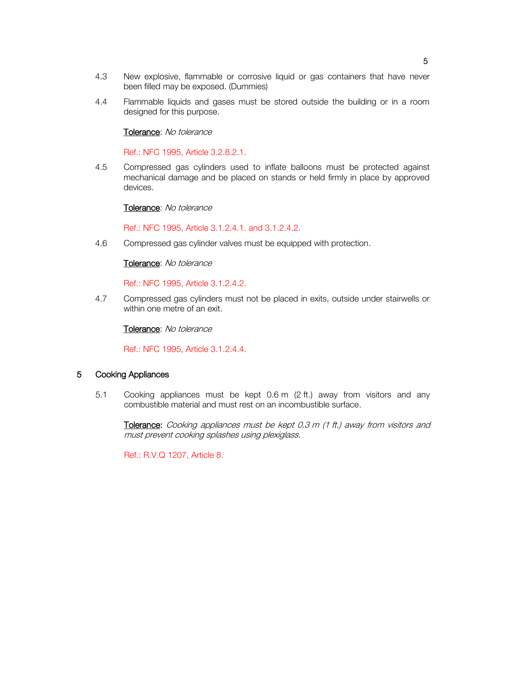- 4.3 New explosive, flammable or corrosive liquid or gas containers that have never been filled may be exposed. (Dummies)
- 4.4 Flammable liquids and gases must be stored outside the building or in a room designed for this purpose.

## Tolerance: No tolerance

Ref.: NFC 1995, Article 3.2.8.2.1.

4.5 Compressed gas cylinders used to inflate balloons must be protected against mechanical damage and be placed on stands or held firmly in place by approved devices.

#### Tolerance: No tolerance

Ref.: NFC 1995, Article 3.1.2.4.1. and 3.1.2.4.2.

4.6 Compressed gas cylinder valves must be equipped with protection.

#### Tolerance: No tolerance

Ref.: NFC 1995, Article 3.1.2.4.2.

4.7 Compressed gas cylinders must not be placed in exits, outside under stairwells or within one metre of an exit.

Tolerance: No tolerance

Ref.: NFC 1995, Article 3.1.2.4.4.

#### 5 Cooking Appliances

5.1 Cooking appliances must be kept 0.6 m (2 ft.) away from visitors and any combustible material and must rest on an incombustible surface.

Tolerance: Cooking appliances must be kept 0.3 m (1 ft.) away from visitors and must prevent cooking splashes using plexiglass.

Ref.: R.V.Q 1207, Article 8.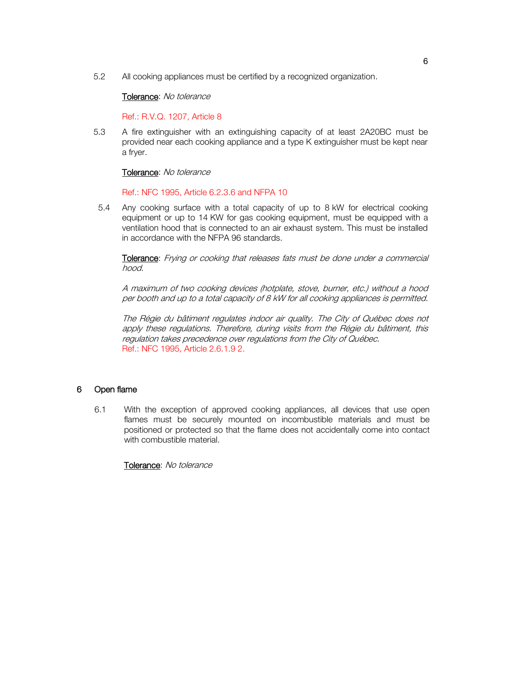5.2 All cooking appliances must be certified by a recognized organization.

## Tolerance: No tolerance

Ref.: R.V.Q. 1207, Article 8

5.3 A fire extinguisher with an extinguishing capacity of at least 2A20BC must be provided near each cooking appliance and a type K extinguisher must be kept near a fryer.

## Tolerance: No tolerance

# Ref.: NFC 1995, Article 6.2.3.6 and NFPA 10

 5.4 Any cooking surface with a total capacity of up to 8 kW for electrical cooking equipment or up to 14 KW for gas cooking equipment, must be equipped with a ventilation hood that is connected to an air exhaust system. This must be installed in accordance with the NFPA 96 standards.

Tolerance: Frying or cooking that releases fats must be done under a commercial hood.

A maximum of two cooking devices (hotplate, stove, burner, etc.) without a hood per booth and up to a total capacity of 8 kW for all cooking appliances is permitted.

The Régie du bâtiment regulates indoor air quality. The City of Québec does not apply these regulations. Therefore, during visits from the Régie du bâtiment, this regulation takes precedence over regulations from the City of Québec. Ref.: NFC 1995, Article 2.6.1.9 2.

# 6 Open flame

6.1 With the exception of approved cooking appliances, all devices that use open flames must be securely mounted on incombustible materials and must be positioned or protected so that the flame does not accidentally come into contact with combustible material.

Tolerance: No tolerance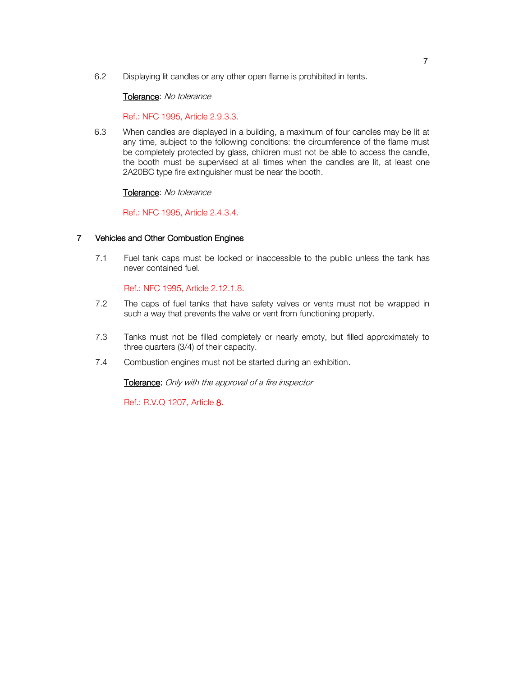6.2 Displaying lit candles or any other open flame is prohibited in tents.

## Tolerance: No tolerance

Ref.: NFC 1995, Article 2.9.3.3.

6.3 When candles are displayed in a building, a maximum of four candles may be lit at any time, subject to the following conditions: the circumference of the flame must be completely protected by glass, children must not be able to access the candle, the booth must be supervised at all times when the candles are lit, at least one 2A20BC type fire extinguisher must be near the booth.

# Tolerance: No tolerance

Ref.: NFC 1995, Article 2.4.3.4.

# 7 Vehicles and Other Combustion Engines

7.1 Fuel tank caps must be locked or inaccessible to the public unless the tank has never contained fuel.

Ref.: NFC 1995, Article 2.12.1.8.

- 7.2 The caps of fuel tanks that have safety valves or vents must not be wrapped in such a way that prevents the valve or vent from functioning properly.
- 7.3 Tanks must not be filled completely or nearly empty, but filled approximately to three quarters (3/4) of their capacity.
- 7.4 Combustion engines must not be started during an exhibition.

Tolerance: Only with the approval of a fire inspector

Ref.: R.V.Q 1207, Article 8.